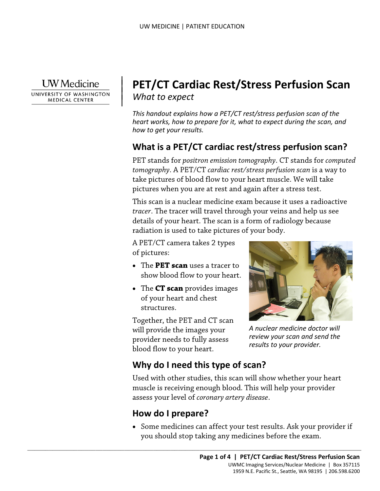**I** W Medicine

 $\overline{\phantom{a}}$ 

UNIVERSITY OF WASHINGTON **MEDICAL CENTER** 

# <sup>|</sup>**PET/CT Cardiac Rest/Stress Perfusion Scan** | *What to expect* <sup>|</sup>

*This handout explains how a PET/CT rest/stress perfusion scan of the heart works, how to prepare for it, what to expect during the scan, and how to get your results.* 

## **What is a PET/CT cardiac rest/stress perfusion scan?**

 pictures when you are at rest and again after a stress test. PET stands for *positron emission tomography*. CT stands for *computed tomography*. A PET/CT *cardiac rest/stress perfusion scan* is a way to take pictures of blood flow to your heart muscle. We will take

 This scan is a nuclear medicine exam because it uses a radioactive comography. A FET/CT caranterest/stress perfusion scan is a way take pictures of blood flow to your heart muscle. We will take pictures when you are at rest and again after a stress test.<br>This scan is a nuclear medicine ex *tracer*. The tracer will travel through your veins and help us see details of your heart. The scan is a form of radiology because radiation is used to take pictures of your body.

A PET/CT camera takes 2 types of pictures:

- The **PET scan** uses a tracer to show blood flow to your heart.
- • The **CT scan** provides images structures. of your heart and chest

 structures. Together, the PET and CT scan blood flow to your heart. will provide the images your provider needs to fully assess



*A nuclear medicine doctor will review your scan and send the results to your provider.* 

## **Why do I need this type of scan?**

 $\_$  ,  $\_$  ,  $\_$  ,  $\_$  ,  $\_$  ,  $\_$  ,  $\_$  ,  $\_$  ,  $\_$  ,  $\_$  ,  $\_$  ,  $\_$  ,  $\_$  ,  $\_$  ,  $\_$  ,  $\_$  ,  $\_$  ,  $\_$  ,  $\_$  ,  $\_$  ,  $\_$  ,  $\_$  ,  $\_$  ,  $\_$  ,  $\_$  ,  $\_$  ,  $\_$  ,  $\_$  ,  $\_$  ,  $\_$  ,  $\_$  ,  $\_$  ,  $\_$  ,  $\_$  ,  $\_$  ,  $\_$  ,  $\_$  ,

Used with other studies, this scan will show whether your heart muscle is receiving enough blood. This will help your provider assess your level of *coronary artery disease*.

## **How do I prepare?**

• Some medicines can affect your test results. Ask your provider if you should stop taking any medicines before the exam.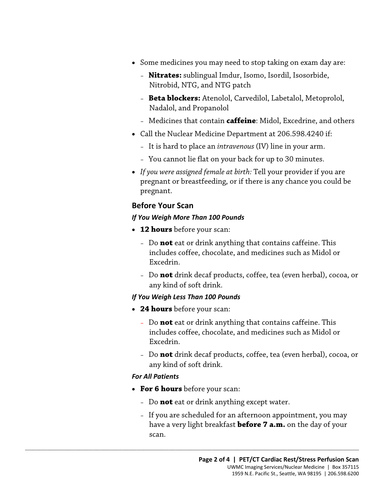- Some medicines you may need to stop taking on exam day are:
	- Nitrobid, NTG, and NTG patch – **Nitrates:** sublingual Imdur, Isomo, Isordil, Isosorbide,
	- **Beta blockers:** Atenolol, Carvedilol, Labetalol, Metoprolol, Nadalol, and Propanolol
	- Medicines that contain **caffeine**: Midol, Excedrine, and others
- Call the Nuclear Medicine Department at 206.598.4240 if:
	- It is hard to place an *intravenous* (IV) line in your arm.
	- You cannot lie flat on your back for up to 30 minutes.
- pregnant or breastfeeding, or if there is any chance you could<br>pregnant.<br>**Before Your Scan**<br>**Before Your Scan**<br>**CRAFT ON THE SERVIE OF A TENA CONTERNATION**<br>**CRAFT ON THE SERVIE OF A TENA CONTERNATION**<br>**CRAFT ON THE SERVIE** • *If you were assigned female at birth:* Tell your provider if you are pregnant or breastfeeding, or if there is any chance you could be pregnant.

#### **Before Your Scan**

#### *If You Weigh More Than 100 Pounds*

- **12 hours** before your scan:
	- includes coffee, chocolate, and medicines such as Midol or – Do **not** eat or drink anything that contains caffeine. This Excedrin.
	- Do **not** drink decaf products, coffee, tea (even herbal), cocoa, or any kind of soft drink.

#### *If You Weigh Less Than 100 Pounds*

- **24 hours** before your scan:
	- Do **not** eat or drink anything that contains caffeine. This includes coffee, chocolate, and medicines such as Midol or Excedrin.
	- Do **not** drink decaf products, coffee, tea (even herbal), cocoa, or any kind of soft drink.

#### *For All Patients*

• **For 6 hours** before your scan:

 $\_$  ,  $\_$  ,  $\_$  ,  $\_$  ,  $\_$  ,  $\_$  ,  $\_$  ,  $\_$  ,  $\_$  ,  $\_$  ,  $\_$  ,  $\_$  ,  $\_$  ,  $\_$  ,  $\_$  ,  $\_$  ,  $\_$  ,  $\_$  ,  $\_$  ,  $\_$  ,  $\_$  ,  $\_$  ,  $\_$  ,  $\_$  ,  $\_$  ,  $\_$  ,  $\_$  ,  $\_$  ,  $\_$  ,  $\_$  ,  $\_$  ,  $\_$  ,  $\_$  ,  $\_$  ,  $\_$  ,  $\_$  ,  $\_$  ,

- Do **not** eat or drink anything except water.
- If you are scheduled for an afternoon appointment, you may have a very light breakfast **before 7 a.m.** on the day of your scan.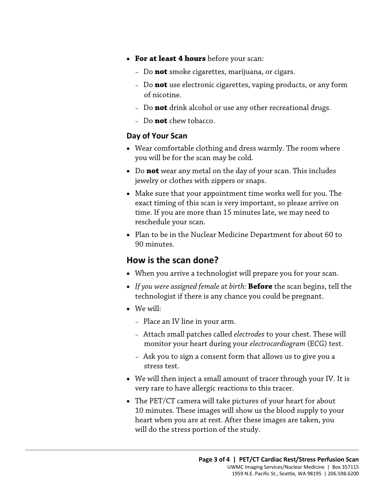- • **For at least 4 hours** before your scan:
	- Do **not** smoke cigarettes, marijuana, or cigars.
	- Do **not** use electronic cigarettes, vaping products, or any form of nicotine.
	- Do **not** drink alcohol or use any other recreational drugs.
	- Do **not** chew tobacco.

#### **Day of Your Scan**

- • Wear comfortable clothing and dress warmly. The room where you will be for the scan may be cold.
- Do **not** wear any metal on the day of your scan. This includes jewelry or clothes with zippers or snaps.
- • Make sure that your appointment time works well for you. The reschedule your scan. iewelry or clothes with zippers or snaps.<br>
• Make sure that your appointment time works well for you. The exact timing of this scan is very important, so please arrive on time. If you are more than 15 minutes late, we may exact timing of this scan is very important, so please arrive on time. If you are more than 15 minutes late, we may need to
	- Plan to be in the Nuclear Medicine Department for about 60 to 90 minutes.

## **How is the scan done?**

- When you arrive a technologist will prepare you for your scan.
- *If you were assigned female at birth:* **Before** the scan begins, tell the technologist if there is any chance you could be pregnant.
- We will:
	- Place an IV line in your arm.

 $\_$  ,  $\_$  ,  $\_$  ,  $\_$  ,  $\_$  ,  $\_$  ,  $\_$  ,  $\_$  ,  $\_$  ,  $\_$  ,  $\_$  ,  $\_$  ,  $\_$  ,  $\_$  ,  $\_$  ,  $\_$  ,  $\_$  ,  $\_$  ,  $\_$  ,  $\_$  ,  $\_$  ,  $\_$  ,  $\_$  ,  $\_$  ,  $\_$  ,  $\_$  ,  $\_$  ,  $\_$  ,  $\_$  ,  $\_$  ,  $\_$  ,  $\_$  ,  $\_$  ,  $\_$  ,  $\_$  ,  $\_$  ,  $\_$  ,

- monitor your heart during your *electrocardiogram* (ECG) test. – Attach small patches called *electrodes* to your chest. These will
- Ask you to sign a consent form that allows us to give you a stress test.
- very rare to have allergic reactions to this tracer. • We will then inject a small amount of tracer through your IV. It is
- • The PET/CT camera will take pictures of your heart for about will do the stress portion of the study. 10 minutes. These images will show us the blood supply to your heart when you are at rest. After these images are taken, you